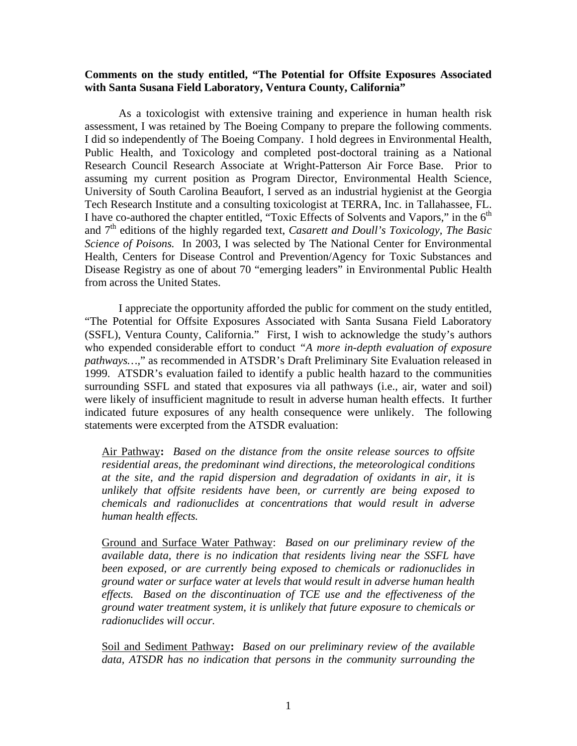## **Comments on the study entitled, "The Potential for Offsite Exposures Associated with Santa Susana Field Laboratory, Ventura County, California"**

 As a toxicologist with extensive training and experience in human health risk assessment, I was retained by The Boeing Company to prepare the following comments. I did so independently of The Boeing Company. I hold degrees in Environmental Health, Public Health, and Toxicology and completed post-doctoral training as a National Research Council Research Associate at Wright-Patterson Air Force Base. Prior to assuming my current position as Program Director, Environmental Health Science, University of South Carolina Beaufort, I served as an industrial hygienist at the Georgia Tech Research Institute and a consulting toxicologist at TERRA, Inc. in Tallahassee, FL. I have co-authored the chapter entitled, "Toxic Effects of Solvents and Vapors," in the  $6<sup>th</sup>$ and 7th editions of the highly regarded text, *Casarett and Doull's Toxicology, The Basic Science of Poisons.* In 2003, I was selected by The National Center for Environmental Health, Centers for Disease Control and Prevention/Agency for Toxic Substances and Disease Registry as one of about 70 "emerging leaders" in Environmental Public Health from across the United States.

 I appreciate the opportunity afforded the public for comment on the study entitled, "The Potential for Offsite Exposures Associated with Santa Susana Field Laboratory (SSFL), Ventura County, California." First, I wish to acknowledge the study's authors who expended considerable effort to conduct *"A more in-depth evaluation of exposure pathways…,*" as recommended in ATSDR's Draft Preliminary Site Evaluation released in 1999. ATSDR's evaluation failed to identify a public health hazard to the communities surrounding SSFL and stated that exposures via all pathways (i.e., air, water and soil) were likely of insufficient magnitude to result in adverse human health effects. It further indicated future exposures of any health consequence were unlikely. The following statements were excerpted from the ATSDR evaluation:

Air Pathway**:** *Based on the distance from the onsite release sources to offsite residential areas, the predominant wind directions, the meteorological conditions at the site, and the rapid dispersion and degradation of oxidants in air, it is unlikely that offsite residents have been, or currently are being exposed to chemicals and radionuclides at concentrations that would result in adverse human health effects.* 

Ground and Surface Water Pathway: *Based on our preliminary review of the available data, there is no indication that residents living near the SSFL have been exposed, or are currently being exposed to chemicals or radionuclides in ground water or surface water at levels that would result in adverse human health effects. Based on the discontinuation of TCE use and the effectiveness of the ground water treatment system, it is unlikely that future exposure to chemicals or radionuclides will occur.* 

Soil and Sediment Pathway**:** *Based on our preliminary review of the available data, ATSDR has no indication that persons in the community surrounding the*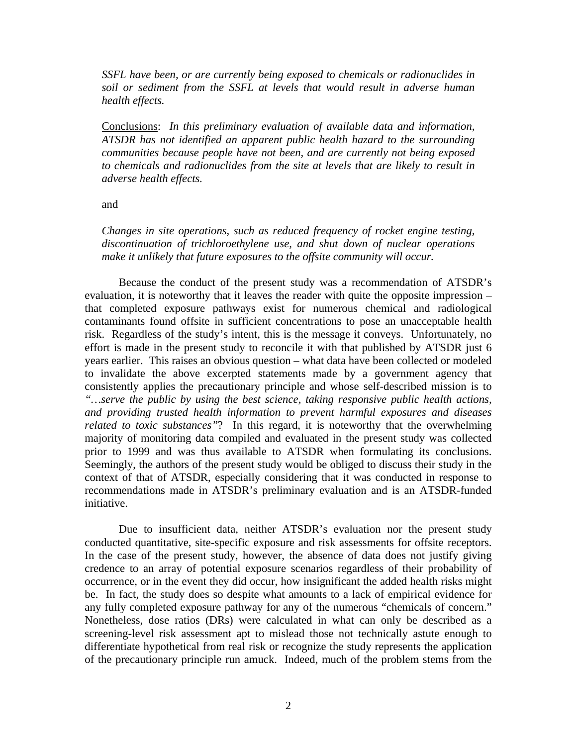*SSFL have been, or are currently being exposed to chemicals or radionuclides in soil or sediment from the SSFL at levels that would result in adverse human health effects.*

Conclusions:*In this preliminary evaluation of available data and information, ATSDR has not identified an apparent public health hazard to the surrounding communities because people have not been, and are currently not being exposed to chemicals and radionuclides from the site at levels that are likely to result in adverse health effects.* 

and

*Changes in site operations, such as reduced frequency of rocket engine testing, discontinuation of trichloroethylene use, and shut down of nuclear operations make it unlikely that future exposures to the offsite community will occur.* 

Because the conduct of the present study was a recommendation of ATSDR's evaluation, it is noteworthy that it leaves the reader with quite the opposite impression – that completed exposure pathways exist for numerous chemical and radiological contaminants found offsite in sufficient concentrations to pose an unacceptable health risk. Regardless of the study's intent, this is the message it conveys. Unfortunately, no effort is made in the present study to reconcile it with that published by ATSDR just 6 years earlier. This raises an obvious question – what data have been collected or modeled to invalidate the above excerpted statements made by a government agency that consistently applies the precautionary principle and whose self-described mission is to *"…serve the public by using the best science, taking responsive public health actions, and providing trusted health information to prevent harmful exposures and diseases related to toxic substances"*? In this regard, it is noteworthy that the overwhelming majority of monitoring data compiled and evaluated in the present study was collected prior to 1999 and was thus available to ATSDR when formulating its conclusions. Seemingly, the authors of the present study would be obliged to discuss their study in the context of that of ATSDR, especially considering that it was conducted in response to recommendations made in ATSDR's preliminary evaluation and is an ATSDR-funded initiative.

 Due to insufficient data, neither ATSDR's evaluation nor the present study conducted quantitative, site-specific exposure and risk assessments for offsite receptors. In the case of the present study, however, the absence of data does not justify giving credence to an array of potential exposure scenarios regardless of their probability of occurrence, or in the event they did occur, how insignificant the added health risks might be. In fact, the study does so despite what amounts to a lack of empirical evidence for any fully completed exposure pathway for any of the numerous "chemicals of concern." Nonetheless, dose ratios (DRs) were calculated in what can only be described as a screening-level risk assessment apt to mislead those not technically astute enough to differentiate hypothetical from real risk or recognize the study represents the application of the precautionary principle run amuck. Indeed, much of the problem stems from the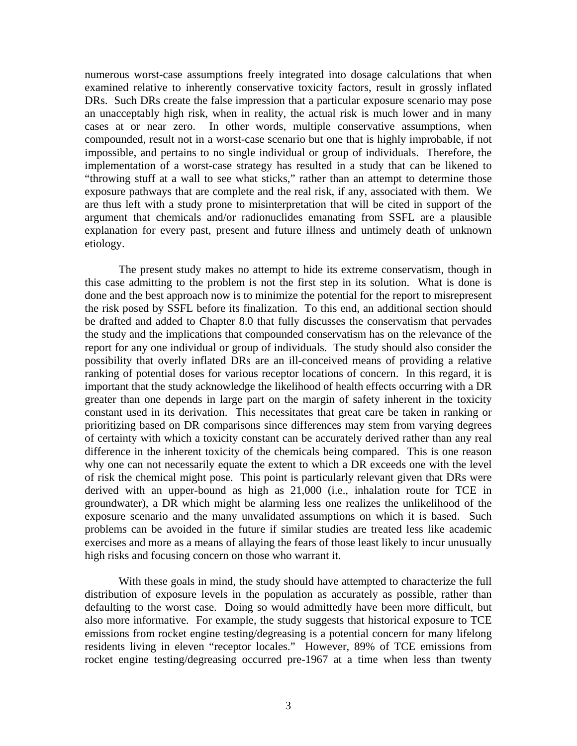numerous worst-case assumptions freely integrated into dosage calculations that when examined relative to inherently conservative toxicity factors, result in grossly inflated DRs. Such DRs create the false impression that a particular exposure scenario may pose an unacceptably high risk, when in reality, the actual risk is much lower and in many cases at or near zero. In other words, multiple conservative assumptions, when compounded, result not in a worst-case scenario but one that is highly improbable, if not impossible, and pertains to no single individual or group of individuals. Therefore, the implementation of a worst-case strategy has resulted in a study that can be likened to "throwing stuff at a wall to see what sticks," rather than an attempt to determine those exposure pathways that are complete and the real risk, if any, associated with them. We are thus left with a study prone to misinterpretation that will be cited in support of the argument that chemicals and/or radionuclides emanating from SSFL are a plausible explanation for every past, present and future illness and untimely death of unknown etiology.

 The present study makes no attempt to hide its extreme conservatism, though in this case admitting to the problem is not the first step in its solution. What is done is done and the best approach now is to minimize the potential for the report to misrepresent the risk posed by SSFL before its finalization. To this end, an additional section should be drafted and added to Chapter 8.0 that fully discusses the conservatism that pervades the study and the implications that compounded conservatism has on the relevance of the report for any one individual or group of individuals. The study should also consider the possibility that overly inflated DRs are an ill-conceived means of providing a relative ranking of potential doses for various receptor locations of concern. In this regard, it is important that the study acknowledge the likelihood of health effects occurring with a DR greater than one depends in large part on the margin of safety inherent in the toxicity constant used in its derivation. This necessitates that great care be taken in ranking or prioritizing based on DR comparisons since differences may stem from varying degrees of certainty with which a toxicity constant can be accurately derived rather than any real difference in the inherent toxicity of the chemicals being compared. This is one reason why one can not necessarily equate the extent to which a DR exceeds one with the level of risk the chemical might pose. This point is particularly relevant given that DRs were derived with an upper-bound as high as 21,000 (i.e., inhalation route for TCE in groundwater), a DR which might be alarming less one realizes the unlikelihood of the exposure scenario and the many unvalidated assumptions on which it is based. Such problems can be avoided in the future if similar studies are treated less like academic exercises and more as a means of allaying the fears of those least likely to incur unusually high risks and focusing concern on those who warrant it.

 With these goals in mind, the study should have attempted to characterize the full distribution of exposure levels in the population as accurately as possible, rather than defaulting to the worst case. Doing so would admittedly have been more difficult, but also more informative. For example, the study suggests that historical exposure to TCE emissions from rocket engine testing/degreasing is a potential concern for many lifelong residents living in eleven "receptor locales." However, 89% of TCE emissions from rocket engine testing/degreasing occurred pre-1967 at a time when less than twenty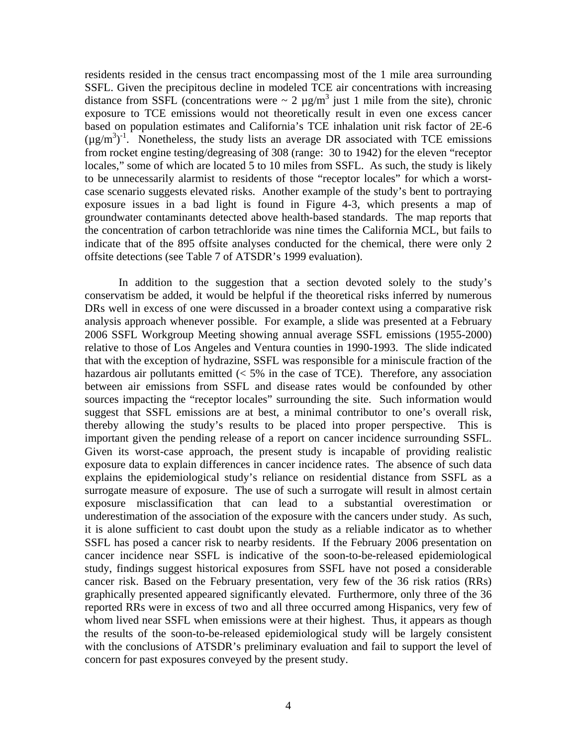residents resided in the census tract encompassing most of the 1 mile area surrounding SSFL. Given the precipitous decline in modeled TCE air concentrations with increasing distance from SSFL (concentrations were  $\sim 2 \mu g/m^3$  just 1 mile from the site), chronic exposure to TCE emissions would not theoretically result in even one excess cancer based on population estimates and California's TCE inhalation unit risk factor of 2E-6  $(\mu g/m^3)^{-1}$ . Nonetheless, the study lists an average DR associated with TCE emissions from rocket engine testing/degreasing of 308 (range: 30 to 1942) for the eleven "receptor locales," some of which are located 5 to 10 miles from SSFL. As such, the study is likely to be unnecessarily alarmist to residents of those "receptor locales" for which a worstcase scenario suggests elevated risks. Another example of the study's bent to portraying exposure issues in a bad light is found in Figure 4-3, which presents a map of groundwater contaminants detected above health-based standards. The map reports that the concentration of carbon tetrachloride was nine times the California MCL, but fails to indicate that of the 895 offsite analyses conducted for the chemical, there were only 2 offsite detections (see Table 7 of ATSDR's 1999 evaluation).

 In addition to the suggestion that a section devoted solely to the study's conservatism be added, it would be helpful if the theoretical risks inferred by numerous DRs well in excess of one were discussed in a broader context using a comparative risk analysis approach whenever possible. For example, a slide was presented at a February 2006 SSFL Workgroup Meeting showing annual average SSFL emissions (1955-2000) relative to those of Los Angeles and Ventura counties in 1990-1993. The slide indicated that with the exception of hydrazine, SSFL was responsible for a miniscule fraction of the hazardous air pollutants emitted  $\langle 5\%$  in the case of TCE). Therefore, any association between air emissions from SSFL and disease rates would be confounded by other sources impacting the "receptor locales" surrounding the site. Such information would suggest that SSFL emissions are at best, a minimal contributor to one's overall risk, thereby allowing the study's results to be placed into proper perspective. This is important given the pending release of a report on cancer incidence surrounding SSFL. Given its worst-case approach, the present study is incapable of providing realistic exposure data to explain differences in cancer incidence rates. The absence of such data explains the epidemiological study's reliance on residential distance from SSFL as a surrogate measure of exposure. The use of such a surrogate will result in almost certain exposure misclassification that can lead to a substantial overestimation or underestimation of the association of the exposure with the cancers under study. As such, it is alone sufficient to cast doubt upon the study as a reliable indicator as to whether SSFL has posed a cancer risk to nearby residents. If the February 2006 presentation on cancer incidence near SSFL is indicative of the soon-to-be-released epidemiological study, findings suggest historical exposures from SSFL have not posed a considerable cancer risk. Based on the February presentation, very few of the 36 risk ratios (RRs) graphically presented appeared significantly elevated. Furthermore, only three of the 36 reported RRs were in excess of two and all three occurred among Hispanics, very few of whom lived near SSFL when emissions were at their highest. Thus, it appears as though the results of the soon-to-be-released epidemiological study will be largely consistent with the conclusions of ATSDR's preliminary evaluation and fail to support the level of concern for past exposures conveyed by the present study.